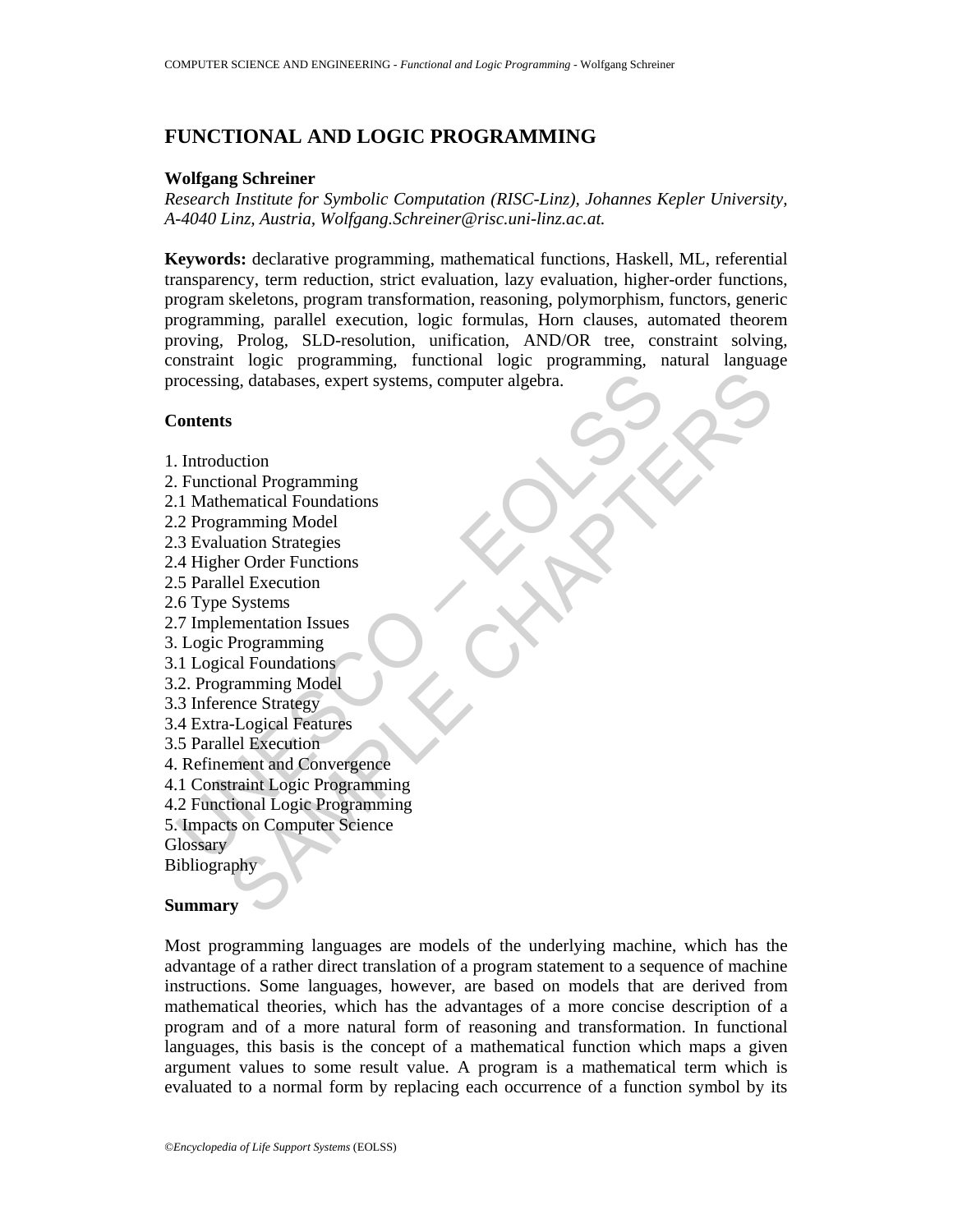# **FUNCTIONAL AND LOGIC PROGRAMMING**

# **Wolfgang Schreiner**

*Research Institute for Symbolic Computation (RISC-Linz), Johannes Kepler University, A-4040 Linz, Austria, Wolfgang.Schreiner@risc.uni-linz.ac.at.* 

UNESCO – EOLSS ig. databases, expert systems, computer algebra.<br>
s<br>
s<br>
s<br>
cuction<br>
cuction<br>
cuction<br>
carrier contentions<br>
carrier contentions<br>
carrier Functions<br>
let Execution<br>
Systems<br>
Programming<br>
Model<br>
Logical Feoution<br>
Systems<br>
Prog **Keywords:** declarative programming, mathematical functions, Haskell, ML, referential transparency, term reduction, strict evaluation, lazy evaluation, higher-order functions, program skeletons, program transformation, reasoning, polymorphism, functors, generic programming, parallel execution, logic formulas, Horn clauses, automated theorem proving, Prolog, SLD-resolution, unification, AND/OR tree, constraint solving, constraint logic programming, functional logic programming, natural language processing, databases, expert systems, computer algebra.

### **Contents**

- 1. Introduction
- 2. Functional Programming
- 2.1 Mathematical Foundations
- 2.2 Programming Model
- 2.3 Evaluation Strategies
- 2.4 Higher Order Functions
- 2.5 Parallel Execution
- 2.6 Type Systems
- 2.7 Implementation Issues
- 3. Logic Programming
- 3.1 Logical Foundations
- 3.2. Programming Model
- 3.3 Inference Strategy
- 3.4 Extra-Logical Features
- 3.5 Parallel Execution
- 4. Refinement and Convergence
- 4.1 Constraint Logic Programming
- 4.2 Functional Logic Programming
- 5. Impacts on Computer Science
- **Glossary**

Bibliography

## **Summary**

Most programming languages are models of the underlying machine, which has the advantage of a rather direct translation of a program statement to a sequence of machine instructions. Some languages, however, are based on models that are derived from mathematical theories, which has the advantages of a more concise description of a program and of a more natural form of reasoning and transformation. In functional languages, this basis is the concept of a mathematical function which maps a given argument values to some result value. A program is a mathematical term which is evaluated to a normal form by replacing each occurrence of a function symbol by its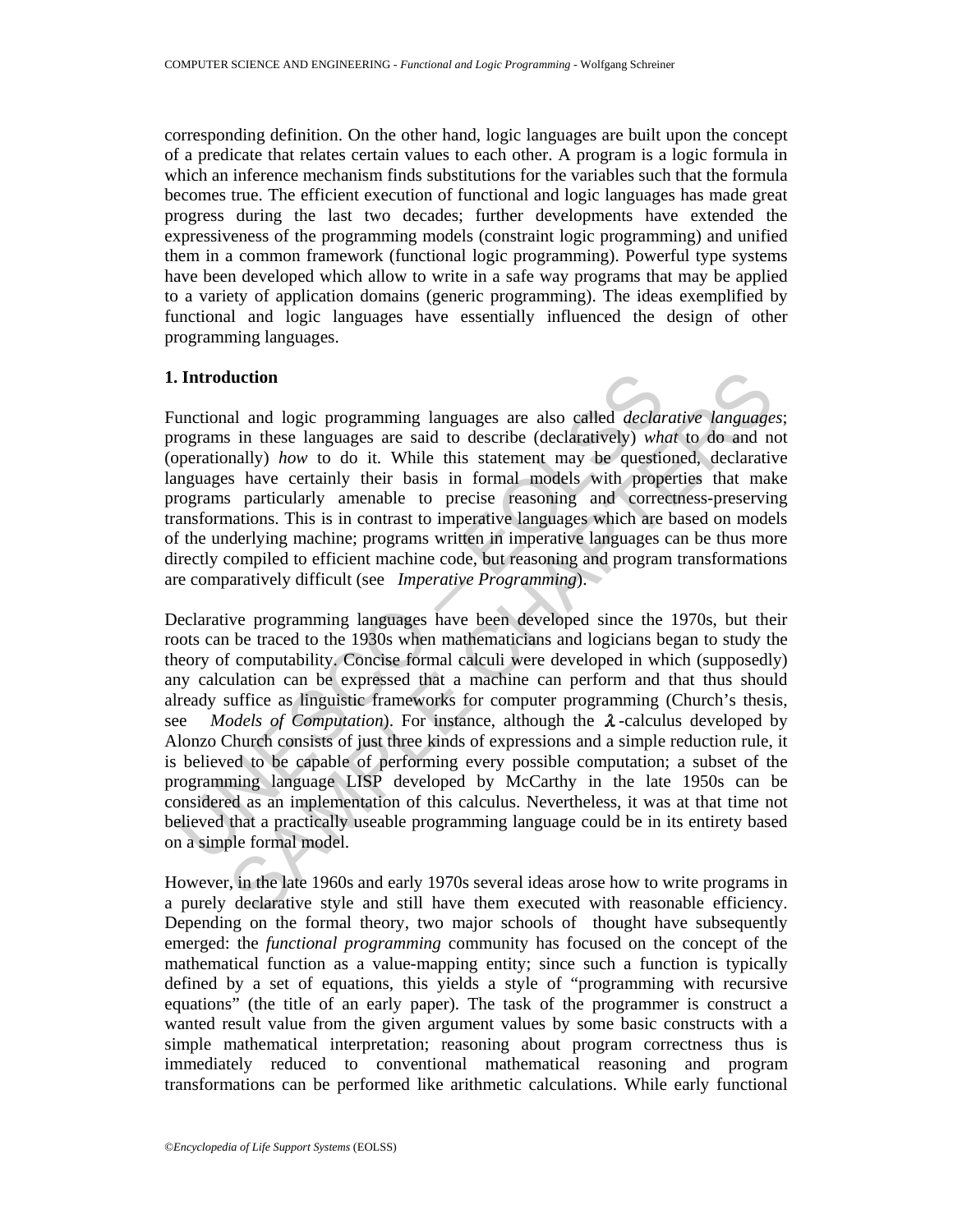corresponding definition. On the other hand, logic languages are built upon the concept of a predicate that relates certain values to each other. A program is a logic formula in which an inference mechanism finds substitutions for the variables such that the formula becomes true. The efficient execution of functional and logic languages has made great progress during the last two decades; further developments have extended the expressiveness of the programming models (constraint logic programming) and unified them in a common framework (functional logic programming). Powerful type systems have been developed which allow to write in a safe way programs that may be applied to a variety of application domains (generic programming). The ideas exemplified by functional and logic languages have essentially influenced the design of other programming languages.

# **1. Introduction**

Functional and logic programming languages are also called *declarative languages*; programs in these languages are said to describe (declaratively) *what* to do and not (operationally) *how* to do it. While this statement may be questioned, declarative languages have certainly their basis in formal models with properties that make programs particularly amenable to precise reasoning and correctness-preserving transformations. This is in contrast to imperative languages which are based on models of the underlying machine; programs written in imperative languages can be thus more directly compiled to efficient machine code, but reasoning and program transformations are comparatively difficult (see *Imperative Programming*).

**Introduction**<br>unctional and logic programming languages are also called *declar*<br>rograms in these languages are said to describe (declaratively) wh<br>perationally) how to do it. While this statement may be questic<br>mguages **aluction**<br>al and logic programming languages are also called *declarative* languages<br>in these languages are said to describe (declaratively) what to do and no<br>and y how to do it. While this is statement may be questioned Declarative programming languages have been developed since the 1970s, but their roots can be traced to the 1930s when mathematicians and logicians began to study the theory of computability. Concise formal calculi were developed in which (supposedly) any calculation can be expressed that a machine can perform and that thus should already suffice as linguistic frameworks for computer programming (Church's thesis, see *Models of Computation*). For instance, although the  $\lambda$ -calculus developed by Alonzo Church consists of just three kinds of expressions and a simple reduction rule, it is believed to be capable of performing every possible computation; a subset of the programming language LISP developed by McCarthy in the late 1950s can be considered as an implementation of this calculus. Nevertheless, it was at that time not believed that a practically useable programming language could be in its entirety based on a simple formal model.

However, in the late 1960s and early 1970s several ideas arose how to write programs in a purely declarative style and still have them executed with reasonable efficiency. Depending on the formal theory, two major schools of thought have subsequently emerged: the *functional programming* community has focused on the concept of the mathematical function as a value-mapping entity; since such a function is typically defined by a set of equations, this yields a style of "programming with recursive equations" (the title of an early paper). The task of the programmer is construct a wanted result value from the given argument values by some basic constructs with a simple mathematical interpretation; reasoning about program correctness thus is immediately reduced to conventional mathematical reasoning and program transformations can be performed like arithmetic calculations. While early functional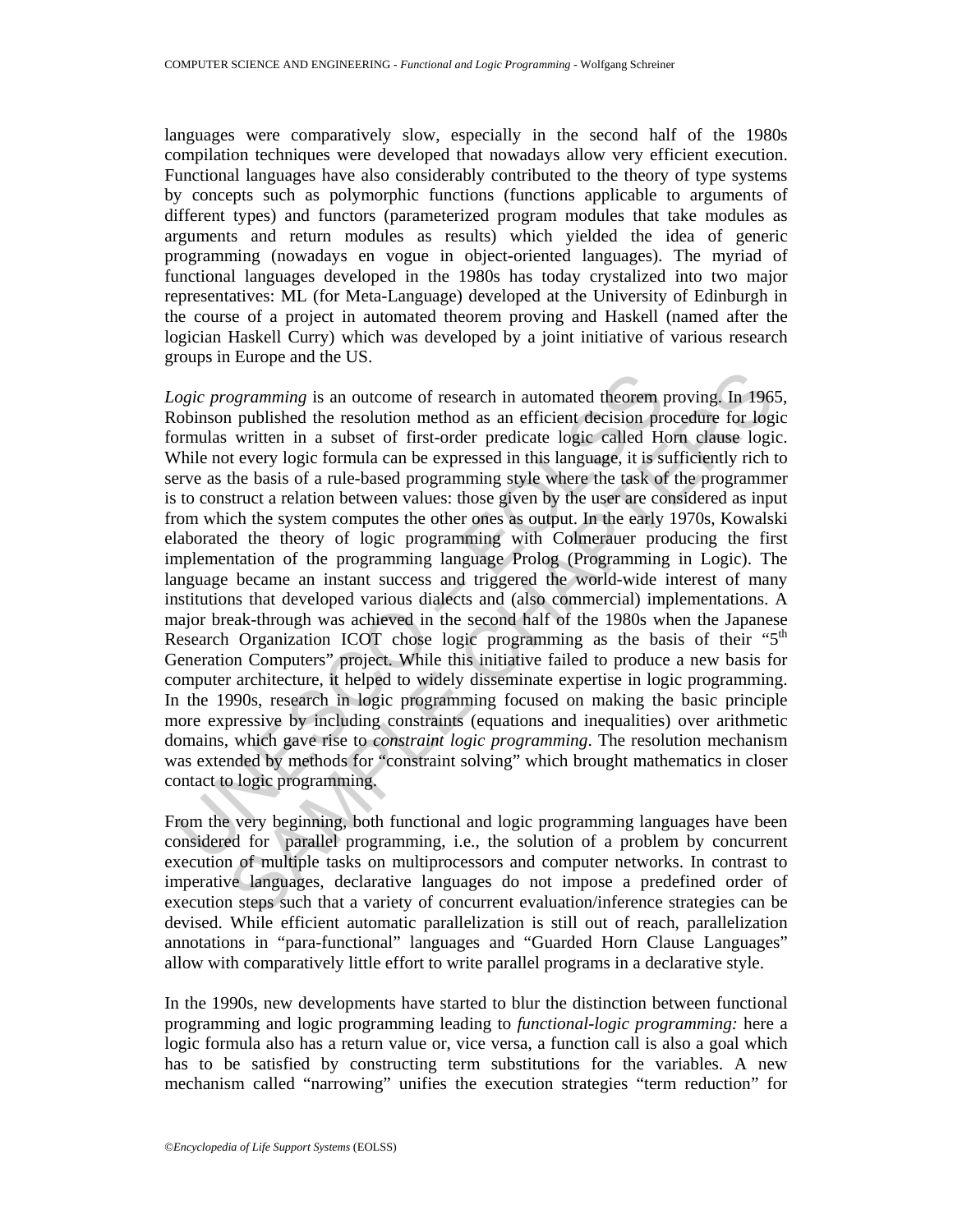languages were comparatively slow, especially in the second half of the 1980s compilation techniques were developed that nowadays allow very efficient execution. Functional languages have also considerably contributed to the theory of type systems by concepts such as polymorphic functions (functions applicable to arguments of different types) and functors (parameterized program modules that take modules as arguments and return modules as results) which yielded the idea of generic programming (nowadays en vogue in object-oriented languages). The myriad of functional languages developed in the 1980s has today crystalized into two major representatives: ML (for Meta-Language) developed at the University of Edinburgh in the course of a project in automated theorem proving and Haskell (named after the logician Haskell Curry) which was developed by a joint initiative of various research groups in Europe and the US.

ogic programming is an outcome of research in automated theorem pobinson published the resolution method as an efficient decision prormulas written in a subset of first-order predicate logic called He rot wery logic formul ogramming is an outcome of research in automated theorem proving. In 1963 published the resolution method as an efficient decision procedure for login witten in a subset of first-order predicate logic called Hom clause log *Logic programming* is an outcome of research in automated theorem proving. In 1965, Robinson published the resolution method as an efficient decision procedure for logic formulas written in a subset of first-order predicate logic called Horn clause logic. While not every logic formula can be expressed in this language, it is sufficiently rich to serve as the basis of a rule-based programming style where the task of the programmer is to construct a relation between values: those given by the user are considered as input from which the system computes the other ones as output. In the early 1970s, Kowalski elaborated the theory of logic programming with Colmerauer producing the first implementation of the programming language Prolog (Programming in Logic). The language became an instant success and triggered the world-wide interest of many institutions that developed various dialects and (also commercial) implementations. A major break-through was achieved in the second half of the 1980s when the Japanese Research Organization ICOT chose logic programming as the basis of their " $5<sup>th</sup>$ Generation Computers" project. While this initiative failed to produce a new basis for computer architecture, it helped to widely disseminate expertise in logic programming. In the 1990s, research in logic programming focused on making the basic principle more expressive by including constraints (equations and inequalities) over arithmetic domains, which gave rise to *constraint logic programming*. The resolution mechanism was extended by methods for "constraint solving" which brought mathematics in closer contact to logic programming.

From the very beginning, both functional and logic programming languages have been considered for parallel programming, i.e., the solution of a problem by concurrent execution of multiple tasks on multiprocessors and computer networks. In contrast to imperative languages, declarative languages do not impose a predefined order of execution steps such that a variety of concurrent evaluation/inference strategies can be devised. While efficient automatic parallelization is still out of reach, parallelization annotations in "para-functional" languages and "Guarded Horn Clause Languages" allow with comparatively little effort to write parallel programs in a declarative style.

In the 1990s, new developments have started to blur the distinction between functional programming and logic programming leading to *functional-logic programming:* here a logic formula also has a return value or, vice versa, a function call is also a goal which has to be satisfied by constructing term substitutions for the variables. A new mechanism called "narrowing" unifies the execution strategies "term reduction" for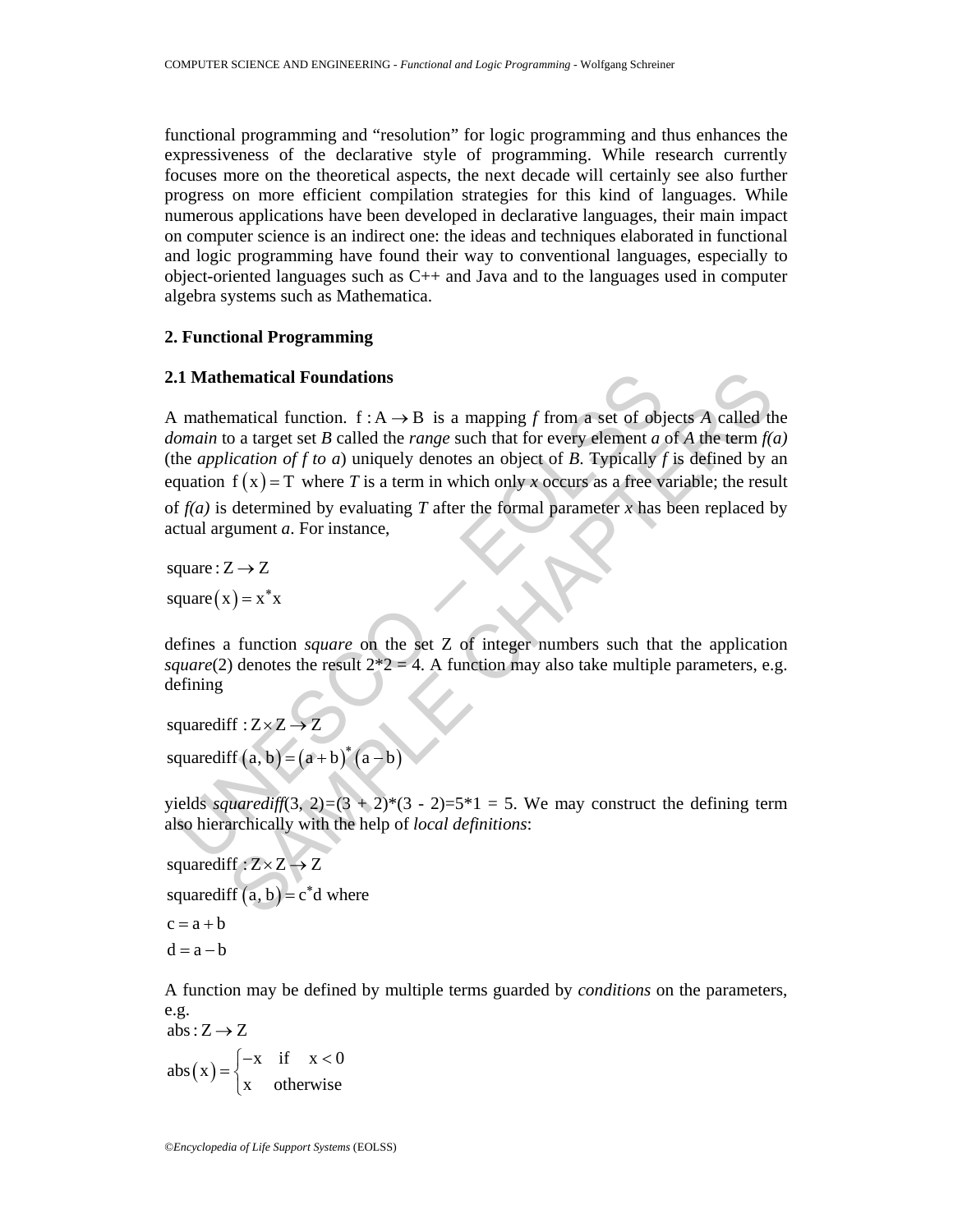functional programming and "resolution" for logic programming and thus enhances the expressiveness of the declarative style of programming. While research currently focuses more on the theoretical aspects, the next decade will certainly see also further progress on more efficient compilation strategies for this kind of languages. While numerous applications have been developed in declarative languages, their main impact on computer science is an indirect one: the ideas and techniques elaborated in functional and logic programming have found their way to conventional languages, especially to object-oriented languages such as C++ and Java and to the languages used in computer algebra systems such as Mathematica.

## **2. Functional Programming**

### **2.1 Mathematical Foundations**

**1 Mathematical Foundations**<br> **1 Mathematical function.**  $f : A \rightarrow B$  is a mapping  $f$  from a set of objomain to a target set  $B$  called the *range* such that for every element  $a$  the application of  $f$  to  $a$ ) uniquely deno **nematical Foundations**<br>
matical function. f : A  $\rightarrow$  B is a mapping *f* from a set of objects *A* called the<br>
o a target set *B* called the *range* such that for every element *a* of *A* the term *f*(*ication of f to a*) A mathematical function.  $f : A \rightarrow B$  is a mapping *f* from a set of objects *A* called the *domain* to a target set *B* called the *range* such that for every element *a* of *A* the term *f(a)*  (the *application of f to a*) uniquely denotes an object of *B*. Typically *f* is defined by an equation  $f(x) = T$  where *T* is a term in which only *x* occurs as a free variable; the result of  $f(a)$  is determined by evaluating T after the formal parameter x has been replaced by actual argument *a*. For instance,

square :  $Z \rightarrow Z$ 

square  $(x) = x^*x$ 

defines a function *square* on the set Z of integer numbers such that the application *square*(2) denotes the result  $2 \times 2 = 4$ . A function may also take multiple parameters, e.g. defining

squarediff  $(a, b) = (a + b)^*(a - b)$ squarediff :  $Z \times Z \rightarrow Z$ 

yields *squarediff*(3, 2)=(3 + 2)\*(3 - 2)=5\*1 = 5. We may construct the defining term also hierarchically with the help of *local definitions*:

squared if  $(a, b) = c^*d$  where squarediff  $: Z \times Z \rightarrow Z$  $c = a + b$  $d = a - b$ 

A function may be defined by multiple terms guarded by *conditions* on the parameters, e.g.

 $(\mathrm{x})$ abs:  $Z \rightarrow Z$ x if  $x < 0$ abs ( x  $=\begin{cases} -x & \text{if } x < 0 \\ x & \text{otherwise} \end{cases}$  $\overline{a}$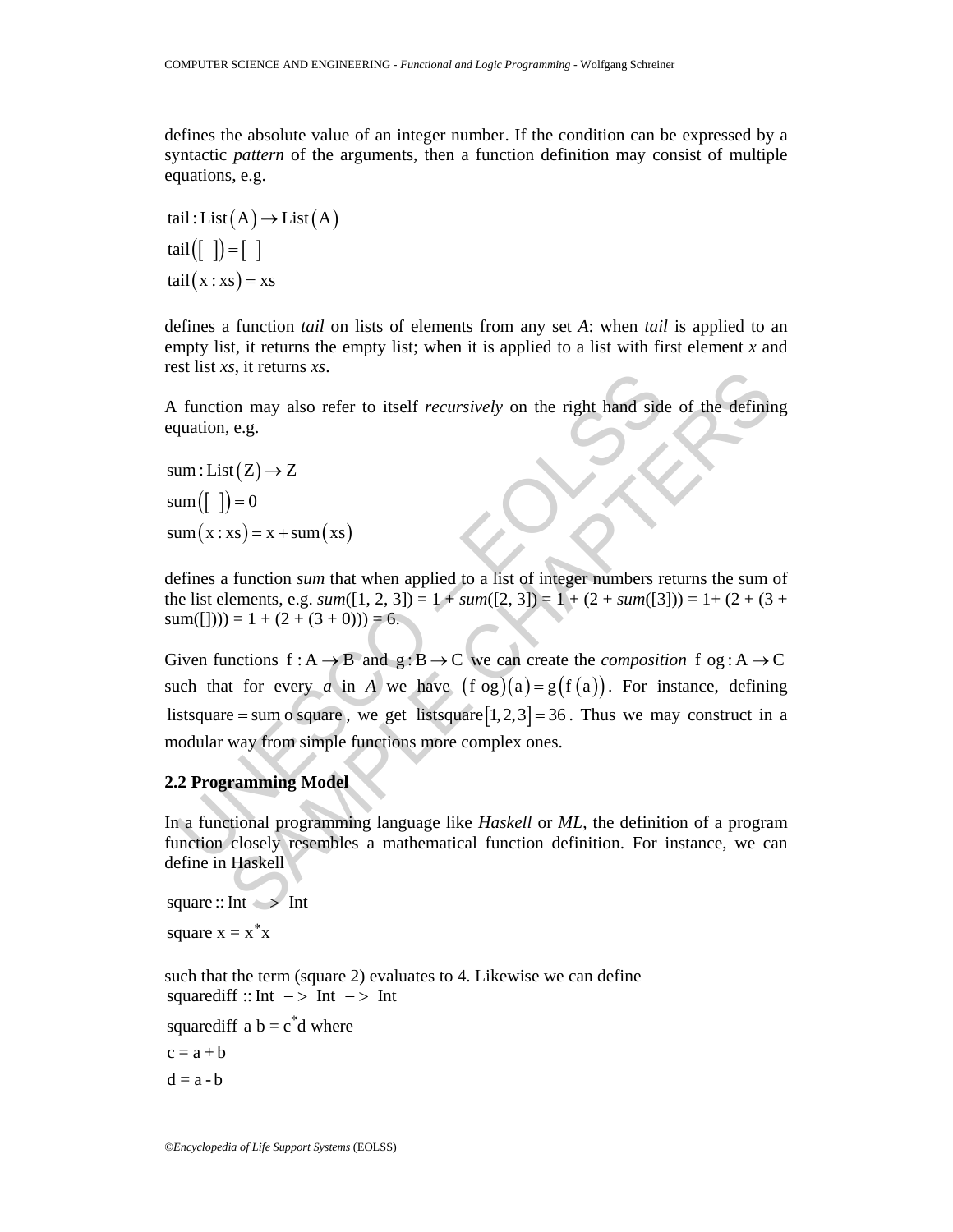defines the absolute value of an integer number. If the condition can be expressed by a syntactic *pattern* of the arguments, then a function definition may consist of multiple equations, e.g.

tail : List  $(A) \rightarrow$  List  $(A)$ tail( $\begin{bmatrix} 1 \end{bmatrix}$ ) =  $\begin{bmatrix} 1 \end{bmatrix}$  $tail(x : xs) = xs$ 

defines a function *tail* on lists of elements from any set *A*: when *tail* is applied to an empty list, it returns the empty list; when it is applied to a list with first element *x* and rest list *xs*, it returns *xs*.

A function may also refer to itself *recursively* on the right hand side of the defining equation, e.g.

 $sum : List(Z) \rightarrow Z$  $sum([$   $]$ ) = 0  $sum(x : xs) = x + sum(xs)$ 

defines a function *sum* that when applied to a list of integer numbers returns the sum of the list elements, e.g.  $sum([1, 2, 3]) = 1 + sum([2, 3]) = 1 + (2 + sum([3])) = 1 + (2 + (3 +$  $sum([1])) = 1 + (2 + (3 + 0)) = 6.$ 

function may also refer to itself *recursively* on the right hand side<br>quation, e.g.<br>um:List(Z)  $\rightarrow$  Z<br>um([])=0<br>um(x:xs)= x + sum(xs)<br>efines a function *sum* that when applied to a list of integer numbers re<br>list elements Solution and also refer to itself *recursively* on the right hand side of the defining e.g.<br>  $\mathfrak{m}(2) \rightarrow Z$ <br>  $\mathfrak{m}(X) = 0$ <br>  $\mathfrak{m}(X) = 0$ <br>  $\mathfrak{m}(X) = 0$ <br>  $\mathfrak{m}(X) = 0$ <br>  $\mathfrak{m}(X) = 0$ <br>  $\mathfrak{m}(X) = 0$ <br>  $\mathfrak{m}(X) = 1 + (2$ Given functions  $f : A \rightarrow B$  and  $g : B \rightarrow C$  we can create the *composition*  $f \circ g : A \rightarrow C$ such that for every *a* in *A* we have  $(f \circ g)(a) = g(f(a))$ . For instance, defining listsquare = sum o square, we get listsquare  $[1, 2, 3] = 36$ . Thus we may construct in a modular way from simple functions more complex ones.

# **2.2 Programming Model**

In a functional programming language like *Haskell* or *ML*, the definition of a program function closely resembles a mathematical function definition. For instance, we can define in Haskell

square  $::$  Int  $\rightarrow$  Int square  $x = x^*x$ 

such that the term (square 2) evaluates to 4. Likewise we can define squarediff  $:: Int -> Int -> Int$ 

squarediff a  $b = c^*d$  where

 $c = a + b$  $d = a - b$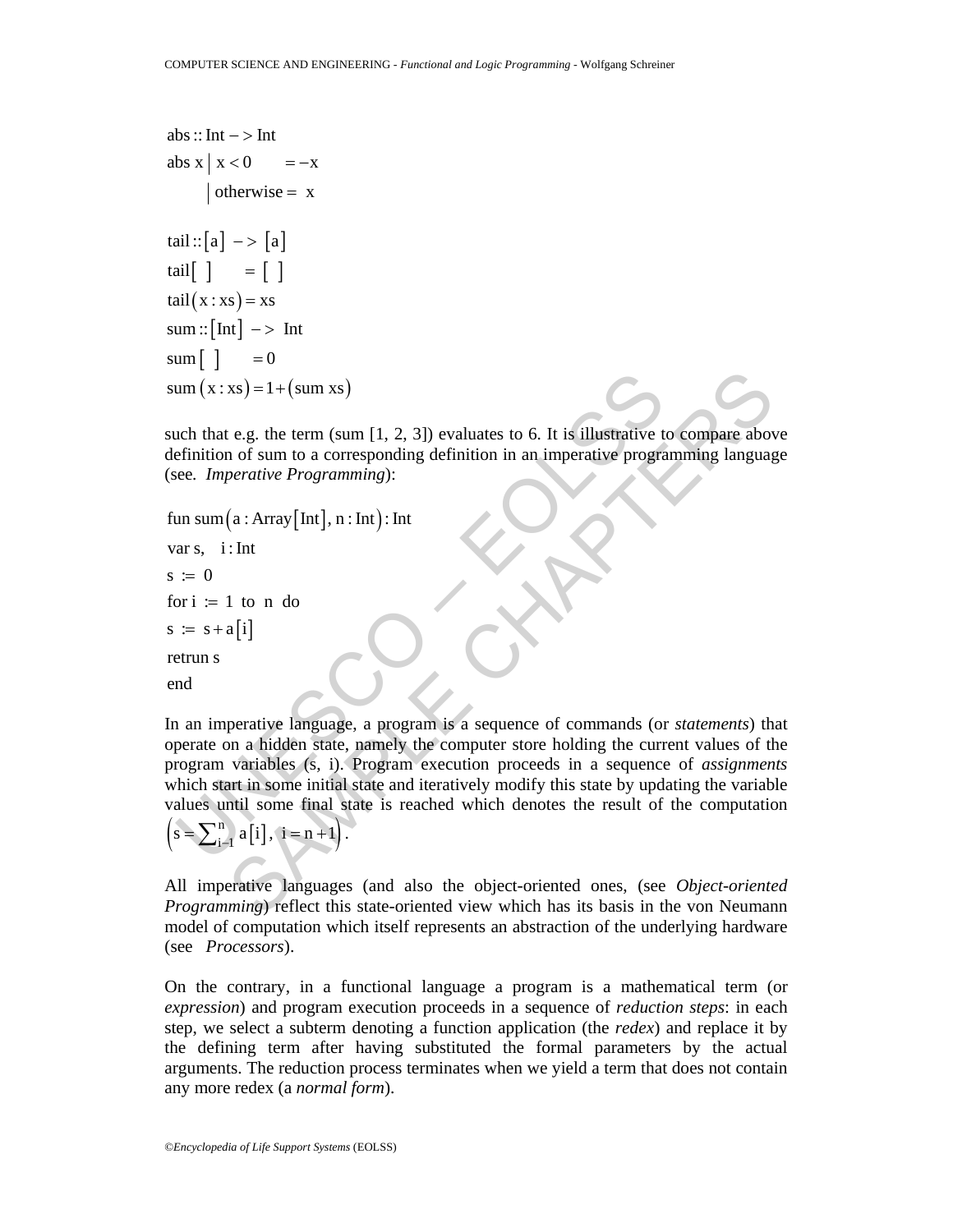```
abs::Int - > Intabs x \mid x < 0 = -xotherwise = xtail::[a] \mathop{~}-\mathop{~}- [a]
tail\begin{bmatrix} \end{bmatrix} = \begin{bmatrix} \end{bmatrix}tail(x : xs) = xs\text{sum} : [\text{Int}] \rightarrow \text{Int}\text{sum} \begin{bmatrix} \end{bmatrix} = 0sum(x : xs) = 1 + (sum xs)
```
such that e.g. the term (sum  $[1, 2, 3]$ ) evaluates to 6. It is illustrative to compare above definition of sum to a corresponding definition in an imperative programming language (see*. Imperative Programming*):

```
fun sum(a : Array[Int], n : Int): Int
s := s + a[i]var s, i: Int
s := 0for i := 1 to n do
retrun s
end
```
um (x:xs) = 1+ (sum xs)<br>
uch that e.g. the term (sum [1, 2, 3]) evaluates to 6. It is illustrative to<br>
efinition of sum to a corresponding definition in an imperative programe.<br>
Entertainty and the according definition in xs) = 1+ (sum xs)<br>
c.g. the term (sum [1, 2, 3]) evaluates to 6. It is illustrative to compare above of sum to a corresponding definition in an imperative programming language<br>
operative Programming):<br>
(a: Array [Int], n: In an imperative language, a program is a sequence of commands (or *statements*) that operate on a hidden state, namely the computer store holding the current values of the program variables (s, i). Program execution proceeds in a sequence of *assignments* which start in some initial state and iteratively modify this state by updating the variable values until some final state is reached which denotes the result of the computation  $\left( s = \sum_{i=1}^{n} a[i], i = n+1 \right).$ 

All imperative languages (and also the object-oriented ones, (see *Object-oriented Programming*) reflect this state-oriented view which has its basis in the von Neumann model of computation which itself represents an abstraction of the underlying hardware (see *Processors*).

On the contrary, in a functional language a program is a mathematical term (or *expression*) and program execution proceeds in a sequence of *reduction steps*: in each step, we select a subterm denoting a function application (the *redex*) and replace it by the defining term after having substituted the formal parameters by the actual arguments. The reduction process terminates when we yield a term that does not contain any more redex (a *normal form*).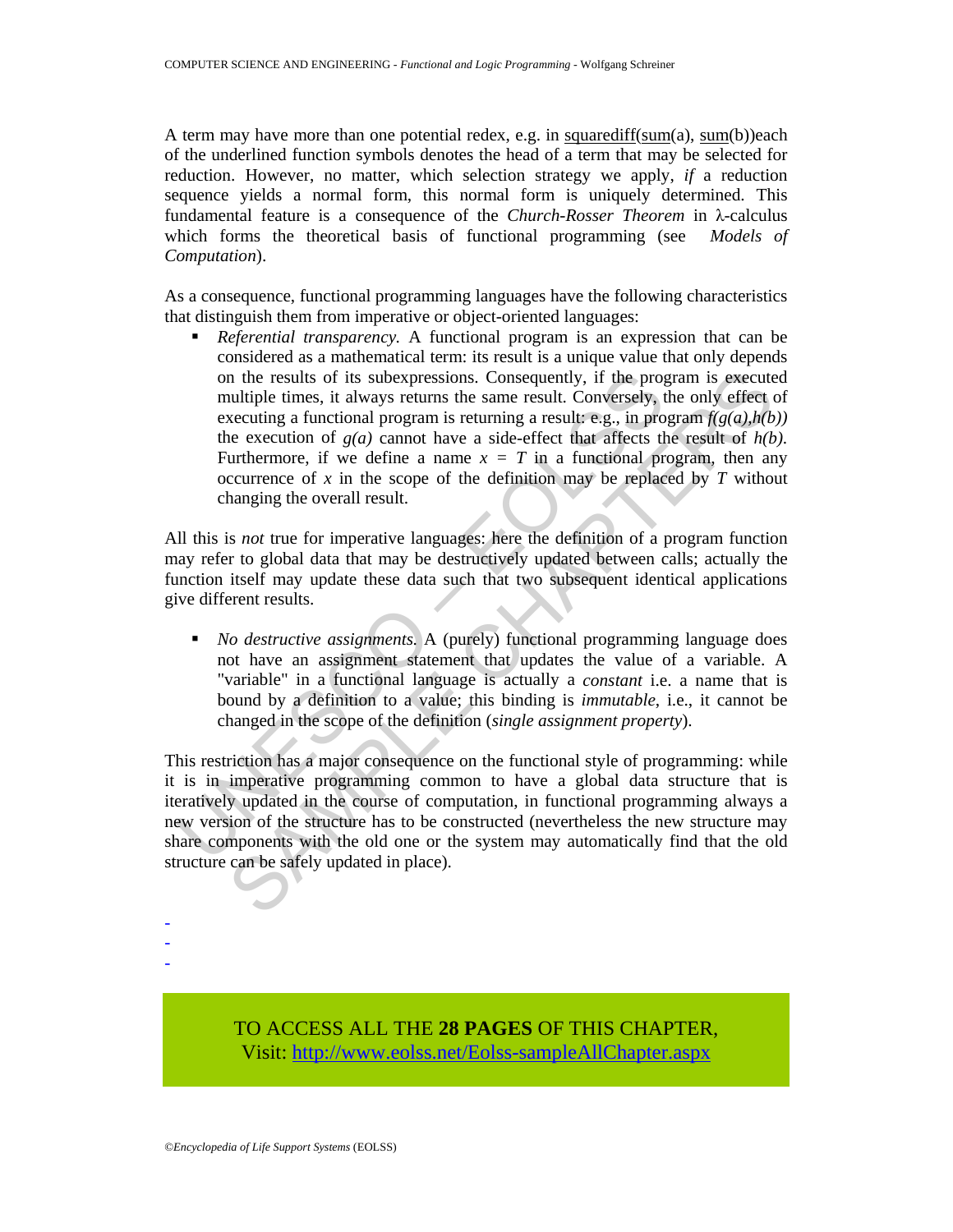A term may have more than one potential redex, e.g. in squarediff(sum(a), sum(b))each of the underlined function symbols denotes the head of a term that may be selected for reduction. However, no matter, which selection strategy we apply, *if* a reduction sequence yields a normal form, this normal form is uniquely determined. This fundamental feature is a consequence of the *Church-Rosser Theorem* in λ-calculus which forms the theoretical basis of functional programming (see *Models of Computation*).

As a consequence, functional programming languages have the following characteristics that distinguish them from imperative or object-oriented languages:

on the results of its subexpressions. Consequently, if the prop<br>
multiple times, it always returns the same result. Conversely, t<br>
execution a functional program is returning a result e.g., in pro-<br>
the execution of  $g(a)$ In the results of its subexpressions. Consequently, if the program is execute utiliple times, it alway returns the same result. Conversely, the only effect underection of *g(a)* cannot have a side-effect that affects the *Referential transparency.* A functional program is an expression that can be considered as a mathematical term: its result is a unique value that only depends on the results of its subexpressions. Consequently, if the program is executed multiple times, it always returns the same result. Conversely, the only effect of executing a functional program is returning a result: e.g., in program  $f(g(a), h(b))$ the execution of  $g(a)$  cannot have a side-effect that affects the result of  $h(b)$ . Furthermore, if we define a name  $x = T$  in a functional program, then any occurrence of  $x$  in the scope of the definition may be replaced by  $T$  without changing the overall result.

All this is *not* true for imperative languages: here the definition of a program function may refer to global data that may be destructively updated between calls; actually the function itself may update these data such that two subsequent identical applications give different results.

 *No destructive assignments.* A (purely) functional programming language does not have an assignment statement that updates the value of a variable. A "variable" in a functional language is actually a *constant* i.e. a name that is bound by a definition to a value; this binding is *immutable*, i.e., it cannot be changed in the scope of the definition (*single assignment property*).

This restriction has a major consequence on the functional style of programming: while it is in imperative programming common to have a global data structure that is iteratively updated in the course of computation, in functional programming always a new version of the structure has to be constructed (nevertheless the new structure may share components with the old one or the system may automatically find that the old structure can be safely updated in place).

> TO ACCESS ALL THE **28 PAGES** OF THIS CHAPTER, Visit: [http://www.eolss.net/Eolss-sampleAllChapter.aspx](https://www.eolss.net/ebooklib/sc_cart.aspx?File=E6-45-05-04)

- - -